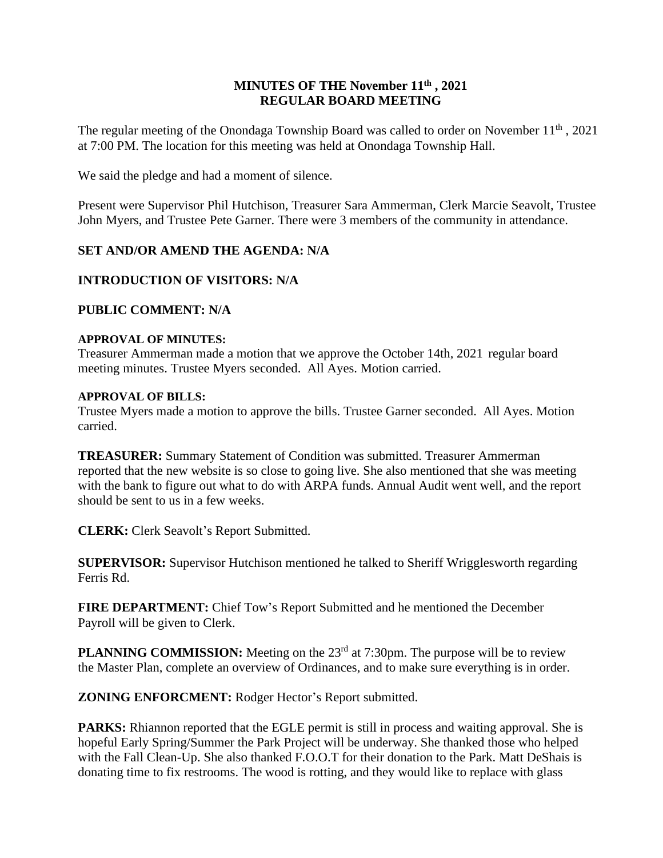## **MINUTES OF THE November 11th , 2021 REGULAR BOARD MEETING**

The regular meeting of the Onondaga Township Board was called to order on November 11<sup>th</sup>, 2021 at 7:00 PM. The location for this meeting was held at Onondaga Township Hall.

We said the pledge and had a moment of silence.

Present were Supervisor Phil Hutchison, Treasurer Sara Ammerman, Clerk Marcie Seavolt, Trustee John Myers, and Trustee Pete Garner. There were 3 members of the community in attendance.

## **SET AND/OR AMEND THE AGENDA: N/A**

## **INTRODUCTION OF VISITORS: N/A**

### **PUBLIC COMMENT: N/A**

#### **APPROVAL OF MINUTES:**

Treasurer Ammerman made a motion that we approve the October 14th, 2021 regular board meeting minutes. Trustee Myers seconded. All Ayes. Motion carried.

#### **APPROVAL OF BILLS:**

Trustee Myers made a motion to approve the bills. Trustee Garner seconded. All Ayes. Motion carried.

**TREASURER:** Summary Statement of Condition was submitted. Treasurer Ammerman reported that the new website is so close to going live. She also mentioned that she was meeting with the bank to figure out what to do with ARPA funds. Annual Audit went well, and the report should be sent to us in a few weeks.

**CLERK:** Clerk Seavolt's Report Submitted.

**SUPERVISOR:** Supervisor Hutchison mentioned he talked to Sheriff Wrigglesworth regarding Ferris Rd.

**FIRE DEPARTMENT:** Chief Tow's Report Submitted and he mentioned the December Payroll will be given to Clerk.

**PLANNING COMMISSION:** Meeting on the 23<sup>rd</sup> at 7:30pm. The purpose will be to review the Master Plan, complete an overview of Ordinances, and to make sure everything is in order.

**ZONING ENFORCMENT:** Rodger Hector's Report submitted.

**PARKS:** Rhiannon reported that the EGLE permit is still in process and waiting approval. She is hopeful Early Spring/Summer the Park Project will be underway. She thanked those who helped with the Fall Clean-Up. She also thanked F.O.O.T for their donation to the Park. Matt DeShais is donating time to fix restrooms. The wood is rotting, and they would like to replace with glass